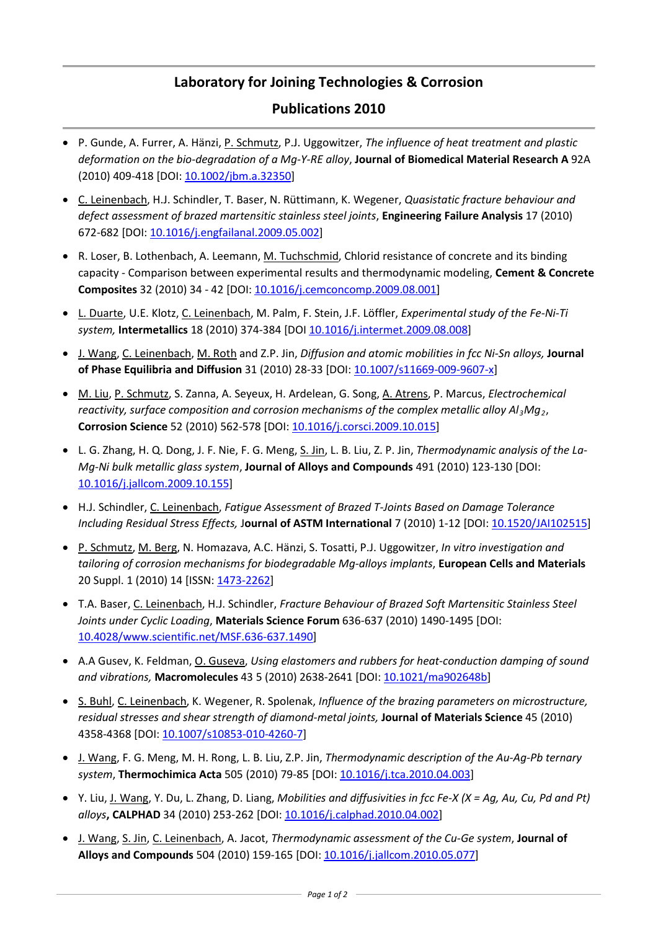## **[Laboratory for Joining Technologies &](http://www.empa.ch/Abt124) Corrosion**

## **Publications 2010**

- P. Gunde, A. Furrer, A. Hänzi, P. Schmutz, P.J. Uggowitzer, *The influence of heat treatment and plastic deformation on the bio-degradation of a Mg-Y-RE alloy*, **Journal of Biomedical Material Research A** 92A (2010) 409-418 [DOI: [10.1002/jbm.a.32350\]](http://dx.doi.org/10.1002/jbm.a.32350)
- C. Leinenbach, H.J. Schindler, T. Baser, N. Rüttimann, K. Wegener, *Quasistatic fracture behaviour and defect assessment of brazed martensitic stainless steel joints*, **Engineering Failure Analysis** 17 (2010) 672-682 [DOI: [10.1016/j.engfailanal.2009.05.002\]](http://dx.doi.org/10.1016/j.engfailanal.2009.05.002)
- R. Loser, B. Lothenbach, A. Leemann, M. Tuchschmid, Chlorid resistance of concrete and its binding capacity - Comparison between experimental results and thermodynamic modeling, **Cement & Concrete Composites** 32 (2010) 34 - 42 [DOI: [10.1016/j.cemconcomp.2009.08.001\]](http://dx.doi.org/10.1016/j.cemconcomp.2009.08.001)
- L. Duarte, U.E. Klotz, C. Leinenbach, M. Palm, F. Stein, J.F. Löffler, *Experimental study of the Fe-Ni-Ti system,* **Intermetallics** 18 (2010) 374-384 [DO[I 10.1016/j.intermet.2009.08.008\]](http://dx.doi.org/10.1016/j.intermet.2009.08.008)
- J. Wang, C. Leinenbach, M. Roth and Z.P. Jin, *Diffusion and atomic mobilities in fcc Ni-Sn alloys,* **Journal of Phase Equilibria and Diffusion** 31 (2010) 28-33 [DOI: [10.1007/s11669-009-9607-x\]](http://dx.doi.org/10.1007/s11669-009-9607-x)
- M. Liu, P. Schmutz, S. Zanna, A. Seyeux, H. Ardelean, G. Song, A. Atrens, P. Marcus, *Electrochemical reactivity, surface composition and corrosion mechanisms of the complex metallic alloy Al3Mg2*, **Corrosion Science** 52 (2010) 562-578 [DOI: [10.1016/j.corsci.2009.10.015\]](http://dx.doi.org/10.1016/j.corsci.2009.10.015)
- L. G. Zhang, H. Q. Dong, J. F. Nie, F. G. Meng, S. Jin, L. B. Liu, Z. P. Jin, *Thermodynamic analysis of the La-Mg-Ni bulk metallic glass system*, **Journal of Alloys and Compounds** 491 (2010) 123-130 [DOI: [10.1016/j.jallcom.2009.10.155\]](http://dx.doi.org/10.1016/j.jallcom.2009.10.155)
- H.J. Schindler, C. Leinenbach, *Fatigue Assessment of Brazed T-Joints Based on Damage Tolerance Including Residual Stress Effects,* J**ournal of ASTM International** 7 (2010) 1-12 [DOI: [10.1520/JAI102515\]](http://dx.doi.org/10.1520/JAI102515)
- P. Schmutz, M. Berg, N. Homazava, A.C. Hänzi, S. Tosatti, P.J. Uggowitzer, *In vitro investigation and tailoring of corrosion mechanisms for biodegradable Mg-alloys implants*, **European Cells and Materials** 20 Suppl. 1 (2010) 14 [ISSN[: 1473-2262\]](http://www.ecmjournal.org/journal/supplements/vol020supp01/pdf/v020supp01a014.pdf)
- T.A. Baser, C. Leinenbach, H.J. Schindler, *Fracture Behaviour of Brazed Soft Martensitic Stainless Steel Joints under Cyclic Loading*, **Materials Science Forum** 636-637 (2010) 1490-1495 [DOI: [10.4028/www.scientific.net/MSF.636-637.1490\]](http://dx.doi.org/10.4028/www.scientific.net/MSF.636-637.1490)
- A.A Gusev, K. Feldman, O. Guseva, *Using elastomers and rubbers for heat-conduction damping of sound and vibrations,* **Macromolecules** 43 5 (2010) 2638-2641 [DOI: [10.1021/ma902648b\]](http://dx.doi.org/10.1021/ma902648b)
- S. Buhl, C. Leinenbach, K. Wegener, R. Spolenak, *Influence of the brazing parameters on microstructure, residual stresses and shear strength of diamond-metal joints,* **Journal of Materials Science** 45 (2010) 4358-4368 [DOI: [10.1007/s10853-010-4260-7\]](http://dx.doi.org/10.1007/s10853-010-4260-7)
- J. Wang, F. G. Meng, M. H. Rong, L. B. Liu, Z.P. Jin, *Thermodynamic description of the Au-Ag-Pb ternary system*, **Thermochimica Acta** 505 (2010) 79-85 [DOI[: 10.1016/j.tca.2010.04.003\]](http://dx.doi.org/10.1016/j.tca.2010.04.003)
- Y. Liu, J. Wang, Y. Du, L. Zhang, D. Liang, *Mobilities and diffusivities in fcc Fe-X (X = Ag, Au, Cu, Pd and Pt) alloys***, CALPHAD** 34 (2010) 253-262 [DOI: [10.1016/j.calphad.2010.04.002\]](http://dx.doi.org/10.1016/j.calphad.2010.04.002)
- J. Wang, S. Jin, C. Leinenbach, A. Jacot, *Thermodynamic assessment of the Cu-Ge system*, **Journal of Alloys and Compounds** 504 (2010) 159-165 [DOI: [10.1016/j.jallcom.2010.05.077\]](http://dx.doi.org/10.1016/j.jallcom.2010.05.077)